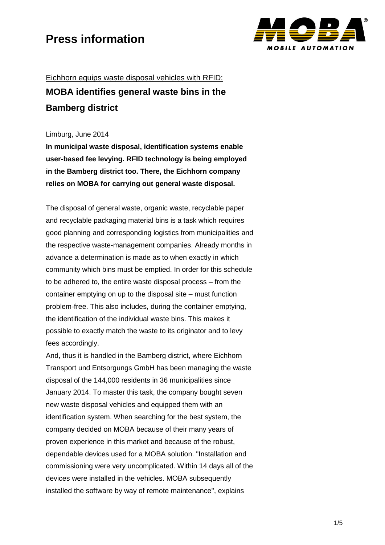

## Eichhorn equips waste disposal vehicles with RFID: **MOBA identifies general waste bins in the Bamberg district**

### Limburg, June 2014

**In municipal waste disposal, identification systems enable user-based fee levying. RFID technology is being employed in the Bamberg district too. There, the Eichhorn company relies on MOBA for carrying out general waste disposal.** 

The disposal of general waste, organic waste, recyclable paper and recyclable packaging material bins is a task which requires good planning and corresponding logistics from municipalities and the respective waste-management companies. Already months in advance a determination is made as to when exactly in which community which bins must be emptied. In order for this schedule to be adhered to, the entire waste disposal process – from the container emptying on up to the disposal site – must function problem-free. This also includes, during the container emptying, the identification of the individual waste bins. This makes it possible to exactly match the waste to its originator and to levy fees accordingly.

And, thus it is handled in the Bamberg district, where Eichhorn Transport und Entsorgungs GmbH has been managing the waste disposal of the 144,000 residents in 36 municipalities since January 2014. To master this task, the company bought seven new waste disposal vehicles and equipped them with an identification system. When searching for the best system, the company decided on MOBA because of their many years of proven experience in this market and because of the robust, dependable devices used for a MOBA solution. "Installation and commissioning were very uncomplicated. Within 14 days all of the devices were installed in the vehicles. MOBA subsequently installed the software by way of remote maintenance", explains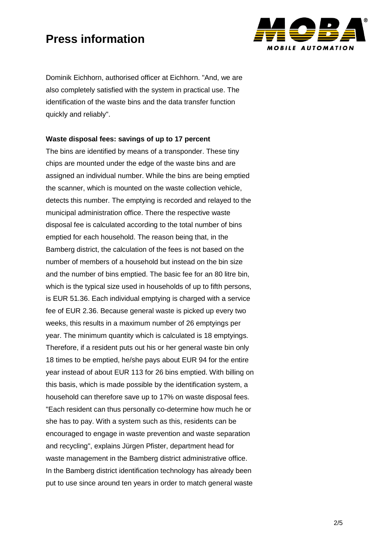

Dominik Eichhorn, authorised officer at Eichhorn. "And, we are also completely satisfied with the system in practical use. The identification of the waste bins and the data transfer function quickly and reliably".

### **Waste disposal fees: savings of up to 17 percent**

The bins are identified by means of a transponder. These tiny chips are mounted under the edge of the waste bins and are assigned an individual number. While the bins are being emptied the scanner, which is mounted on the waste collection vehicle, detects this number. The emptying is recorded and relayed to the municipal administration office. There the respective waste disposal fee is calculated according to the total number of bins emptied for each household. The reason being that, in the Bamberg district, the calculation of the fees is not based on the number of members of a household but instead on the bin size and the number of bins emptied. The basic fee for an 80 litre bin, which is the typical size used in households of up to fifth persons, is EUR 51.36. Each individual emptying is charged with a service fee of EUR 2.36. Because general waste is picked up every two weeks, this results in a maximum number of 26 emptyings per year. The minimum quantity which is calculated is 18 emptyings. Therefore, if a resident puts out his or her general waste bin only 18 times to be emptied, he/she pays about EUR 94 for the entire year instead of about EUR 113 for 26 bins emptied. With billing on this basis, which is made possible by the identification system, a household can therefore save up to 17% on waste disposal fees. "Each resident can thus personally co-determine how much he or she has to pay. With a system such as this, residents can be encouraged to engage in waste prevention and waste separation and recycling", explains Jürgen Pfister, department head for waste management in the Bamberg district administrative office. In the Bamberg district identification technology has already been put to use since around ten years in order to match general waste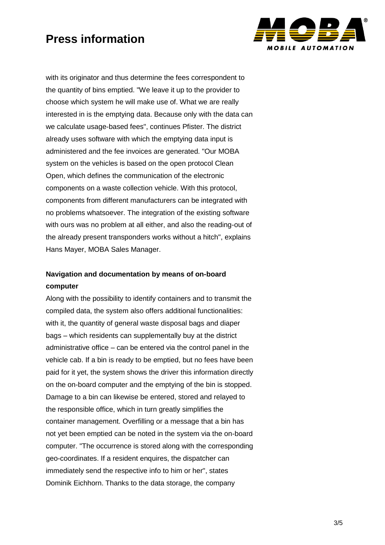

with its originator and thus determine the fees correspondent to the quantity of bins emptied. "We leave it up to the provider to choose which system he will make use of. What we are really interested in is the emptying data. Because only with the data can we calculate usage-based fees", continues Pfister. The district already uses software with which the emptying data input is administered and the fee invoices are generated. "Our MOBA system on the vehicles is based on the open protocol Clean Open, which defines the communication of the electronic components on a waste collection vehicle. With this protocol, components from different manufacturers can be integrated with no problems whatsoever. The integration of the existing software with ours was no problem at all either, and also the reading-out of the already present transponders works without a hitch", explains Hans Mayer, MOBA Sales Manager.

### **Navigation and documentation by means of on-board computer**

Along with the possibility to identify containers and to transmit the compiled data, the system also offers additional functionalities: with it, the quantity of general waste disposal bags and diaper bags – which residents can supplementally buy at the district administrative office – can be entered via the control panel in the vehicle cab. If a bin is ready to be emptied, but no fees have been paid for it yet, the system shows the driver this information directly on the on-board computer and the emptying of the bin is stopped. Damage to a bin can likewise be entered, stored and relayed to the responsible office, which in turn greatly simplifies the container management. Overfilling or a message that a bin has not yet been emptied can be noted in the system via the on-board computer. "The occurrence is stored along with the corresponding geo-coordinates. If a resident enquires, the dispatcher can immediately send the respective info to him or her", states Dominik Eichhorn. Thanks to the data storage, the company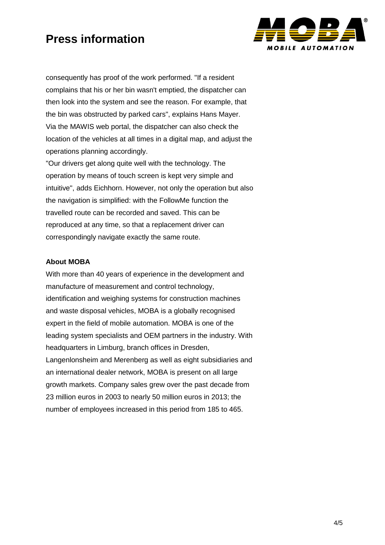

consequently has proof of the work performed. "If a resident complains that his or her bin wasn't emptied, the dispatcher can then look into the system and see the reason. For example, that the bin was obstructed by parked cars", explains Hans Mayer. Via the MAWIS web portal, the dispatcher can also check the location of the vehicles at all times in a digital map, and adjust the operations planning accordingly.

"Our drivers get along quite well with the technology. The operation by means of touch screen is kept very simple and intuitive", adds Eichhorn. However, not only the operation but also the navigation is simplified: with the FollowMe function the travelled route can be recorded and saved. This can be reproduced at any time, so that a replacement driver can correspondingly navigate exactly the same route.

### **About MOBA**

With more than 40 years of experience in the development and manufacture of measurement and control technology, identification and weighing systems for construction machines and waste disposal vehicles, MOBA is a globally recognised expert in the field of mobile automation. MOBA is one of the leading system specialists and OEM partners in the industry. With headquarters in Limburg, branch offices in Dresden, Langenlonsheim and Merenberg as well as eight subsidiaries and an international dealer network, MOBA is present on all large growth markets. Company sales grew over the past decade from 23 million euros in 2003 to nearly 50 million euros in 2013; the number of employees increased in this period from 185 to 465.